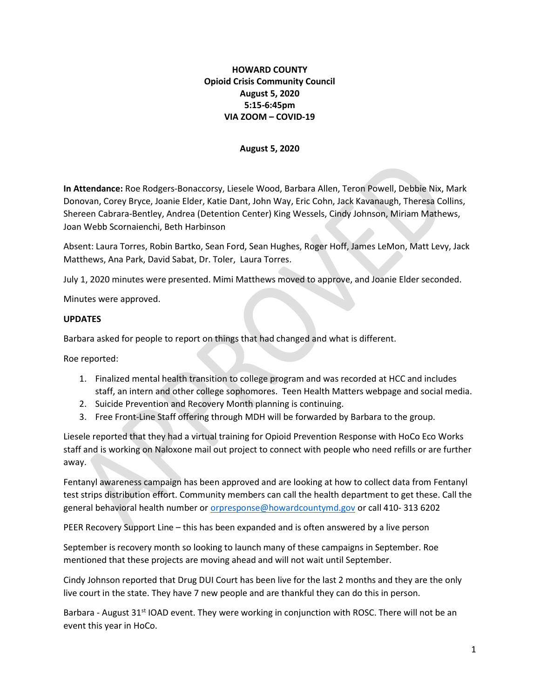### HOWARD COUNTY Opioid Crisis Community Council August 5, 2020 5:15-6:45pm VIA ZOOM – COVID-19

#### August 5, 2020

In Attendance: Roe Rodgers-Bonaccorsy, Liesele Wood, Barbara Allen, Teron Powell, Debbie Nix, Mark Donovan, Corey Bryce, Joanie Elder, Katie Dant, John Way, Eric Cohn, Jack Kavanaugh, Theresa Collins, Shereen Cabrara-Bentley, Andrea (Detention Center) King Wessels, Cindy Johnson, Miriam Mathews, Joan Webb Scornaienchi, Beth Harbinson

Absent: Laura Torres, Robin Bartko, Sean Ford, Sean Hughes, Roger Hoff, James LeMon, Matt Levy, Jack Matthews, Ana Park, David Sabat, Dr. Toler, Laura Torres.

July 1, 2020 minutes were presented. Mimi Matthews moved to approve, and Joanie Elder seconded.

Minutes were approved.

#### UPDATES

Barbara asked for people to report on things that had changed and what is different.

Roe reported:

- 1. Finalized mental health transition to college program and was recorded at HCC and includes staff, an intern and other college sophomores. Teen Health Matters webpage and social media.
- 2. Suicide Prevention and Recovery Month planning is continuing.
- 3. Free Front-Line Staff offering through MDH will be forwarded by Barbara to the group.

Liesele reported that they had a virtual training for Opioid Prevention Response with HoCo Eco Works staff and is working on Naloxone mail out project to connect with people who need refills or are further away.

Fentanyl awareness campaign has been approved and are looking at how to collect data from Fentanyl test strips distribution effort. Community members can call the health department to get these. Call the general behavioral health number or orpresponse@howardcountymd.gov or call 410- 313 6202

PEER Recovery Support Line – this has been expanded and is often answered by a live person

September is recovery month so looking to launch many of these campaigns in September. Roe mentioned that these projects are moving ahead and will not wait until September.

Cindy Johnson reported that Drug DUI Court has been live for the last 2 months and they are the only live court in the state. They have 7 new people and are thankful they can do this in person.

Barbara - August  $31<sup>st</sup>$  IOAD event. They were working in conjunction with ROSC. There will not be an event this year in HoCo.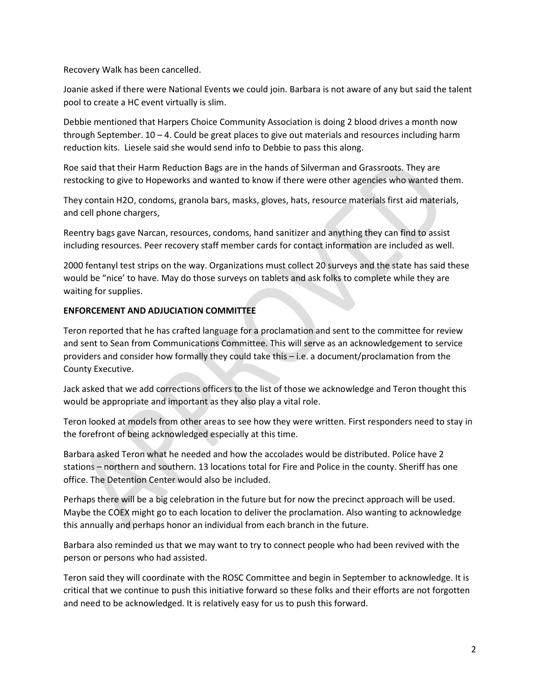Recovery Walk has been cancelled.

Joanie asked if there were National Events we could join. Barbara is not aware of any but said the talent pool to create a HC event virtually is slim.

Debbie mentioned that Harpers Choice Community Association is doing 2 blood drives a month now through September.  $10 - 4$ . Could be great places to give out materials and resources including harm reduction kits. Liesele said she would send info to Debbie to pass this along.

Roe said that their Harm Reduction Bags are in the hands of Silverman and Grassroots. They are restocking to give to Hopeworks and wanted to know if there were other agencies who wanted them.

They contain H2O, condoms, granola bars, masks, gloves, hats, resource materials first aid materials, and cell phone chargers,

Reentry bags gave Narcan, resources, condoms, hand sanitizer and anything they can find to assist including resources. Peer recovery staff member cards for contact information are included as well.

2000 fentanyl test strips on the way. Organizations must collect 20 surveys and the state has said these would be "nice' to have. May do those surveys on tablets and ask folks to complete while they are waiting for supplies.

# ENFORCEMENT AND ADJUCIATION COMMITTEE

Teron reported that he has crafted language for a proclamation and sent to the committee for review and sent to Sean from Communications Committee. This will serve as an acknowledgement to service providers and consider how formally they could take this – i.e. a document/proclamation from the County Executive.

Jack asked that we add corrections officers to the list of those we acknowledge and Teron thought this would be appropriate and important as they also play a vital role.

Teron looked at models from other areas to see how they were written. First responders need to stay in the forefront of being acknowledged especially at this time.

Barbara asked Teron what he needed and how the accolades would be distributed. Police have 2 stations – northern and southern. 13 locations total for Fire and Police in the county. Sheriff has one office. The Detention Center would also be included.

Perhaps there will be a big celebration in the future but for now the precinct approach will be used. Maybe the COEX might go to each location to deliver the proclamation. Also wanting to acknowledge this annually and perhaps honor an individual from each branch in the future.

Barbara also reminded us that we may want to try to connect people who had been revived with the person or persons who had assisted.

Teron said they will coordinate with the ROSC Committee and begin in September to acknowledge. It is critical that we continue to push this initiative forward so these folks and their efforts are not forgotten and need to be acknowledged. It is relatively easy for us to push this forward.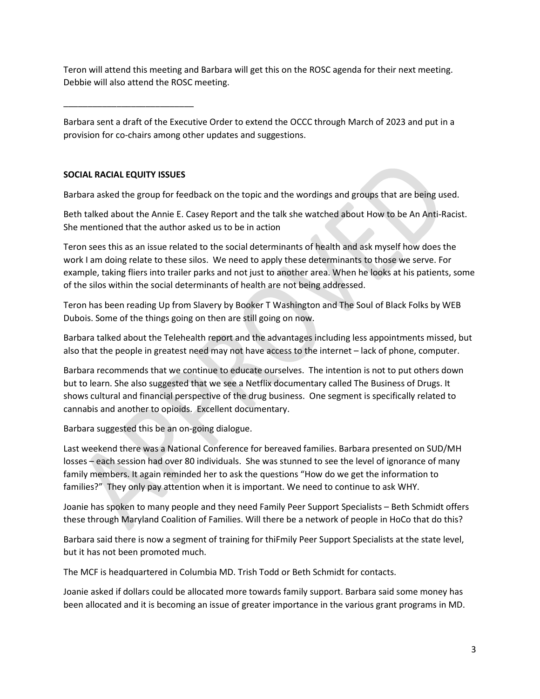Teron will attend this meeting and Barbara will get this on the ROSC agenda for their next meeting. Debbie will also attend the ROSC meeting.

Barbara sent a draft of the Executive Order to extend the OCCC through March of 2023 and put in a provision for co-chairs among other updates and suggestions.

# SOCIAL RACIAL EQUITY ISSUES

\_\_\_\_\_\_\_\_\_\_\_\_\_\_\_\_\_\_\_\_\_\_\_\_\_\_\_

Barbara asked the group for feedback on the topic and the wordings and groups that are being used.

Beth talked about the Annie E. Casey Report and the talk she watched about How to be An Anti-Racist. She mentioned that the author asked us to be in action

Teron sees this as an issue related to the social determinants of health and ask myself how does the work I am doing relate to these silos. We need to apply these determinants to those we serve. For example, taking fliers into trailer parks and not just to another area. When he looks at his patients, some of the silos within the social determinants of health are not being addressed.

Teron has been reading Up from Slavery by Booker T Washington and The Soul of Black Folks by WEB Dubois. Some of the things going on then are still going on now.

Barbara talked about the Telehealth report and the advantages including less appointments missed, but also that the people in greatest need may not have access to the internet – lack of phone, computer.

Barbara recommends that we continue to educate ourselves. The intention is not to put others down but to learn. She also suggested that we see a Netflix documentary called The Business of Drugs. It shows cultural and financial perspective of the drug business. One segment is specifically related to cannabis and another to opioids. Excellent documentary.

Barbara suggested this be an on-going dialogue.

Last weekend there was a National Conference for bereaved families. Barbara presented on SUD/MH losses – each session had over 80 individuals. She was stunned to see the level of ignorance of many family members. It again reminded her to ask the questions "How do we get the information to families?" They only pay attention when it is important. We need to continue to ask WHY.

Joanie has spoken to many people and they need Family Peer Support Specialists – Beth Schmidt offers these through Maryland Coalition of Families. Will there be a network of people in HoCo that do this?

Barbara said there is now a segment of training for thiFmily Peer Support Specialists at the state level, but it has not been promoted much.

The MCF is headquartered in Columbia MD. Trish Todd or Beth Schmidt for contacts.

Joanie asked if dollars could be allocated more towards family support. Barbara said some money has been allocated and it is becoming an issue of greater importance in the various grant programs in MD.